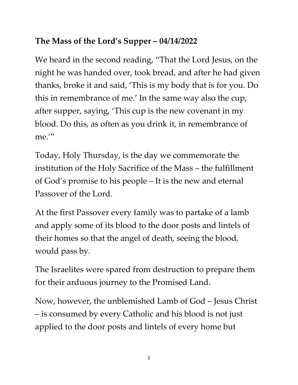## **The Mass of the Lord's Supper – 04/14/2022**

We heard in the second reading, "That the Lord Jesus, on the night he was handed over, took bread, and after he had given thanks, broke it and said, 'This is my body that is for you. Do this in remembrance of me.' In the same way also the cup, after supper, saying, 'This cup is the new covenant in my blood. Do this, as often as you drink it, in remembrance of me.'"

Today, Holy Thursday, is the day we commemorate the institution of the Holy Sacrifice of the Mass – the fulfillment of God's promise to his people – It is the new and eternal Passover of the Lord.

At the first Passover every family was to partake of a lamb and apply some of its blood to the door posts and lintels of their homes so that the angel of death, seeing the blood, would pass by.

The Israelites were spared from destruction to prepare them for their arduous journey to the Promised Land.

Now, however, the unblemished Lamb of God – Jesus Christ – is consumed by every Catholic and his blood is not just applied to the door posts and lintels of every home but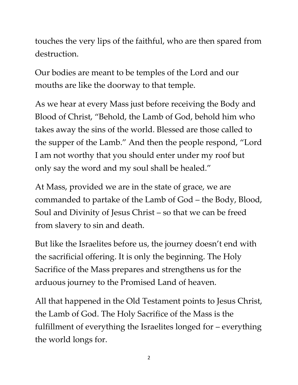touches the very lips of the faithful, who are then spared from destruction.

Our bodies are meant to be temples of the Lord and our mouths are like the doorway to that temple.

As we hear at every Mass just before receiving the Body and Blood of Christ, "Behold, the Lamb of God, behold him who takes away the sins of the world. Blessed are those called to the supper of the Lamb." And then the people respond, "Lord I am not worthy that you should enter under my roof but only say the word and my soul shall be healed."

At Mass, provided we are in the state of grace, we are commanded to partake of the Lamb of God – the Body, Blood, Soul and Divinity of Jesus Christ – so that we can be freed from slavery to sin and death.

But like the Israelites before us, the journey doesn't end with the sacrificial offering. It is only the beginning. The Holy Sacrifice of the Mass prepares and strengthens us for the arduous journey to the Promised Land of heaven.

All that happened in the Old Testament points to Jesus Christ, the Lamb of God. The Holy Sacrifice of the Mass is the fulfillment of everything the Israelites longed for – everything the world longs for.